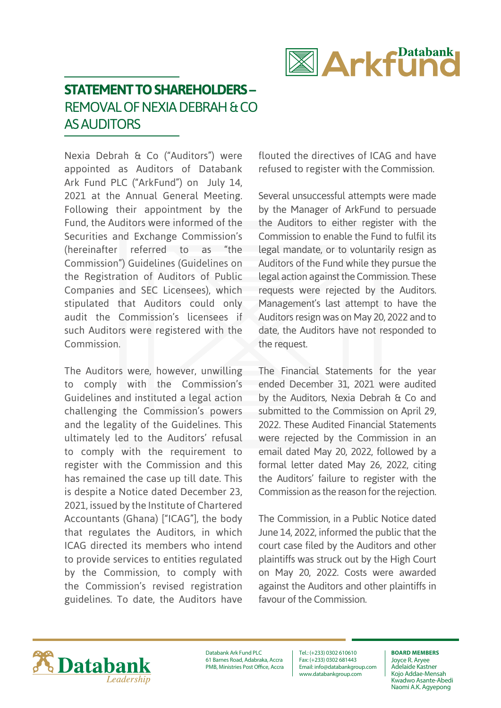

## **STATEMENT TO SHAREHOLDERS –** REMOVAL OF NEXIA DEBRAH & CO AS AUDITORS

Nexia Debrah & Co ("Auditors") were appointed as Auditors of Databank Ark Fund PLC ("ArkFund") on July 14, 2021 at the Annual General Meeting. Following their appointment by the Fund, the Auditors were informed of the Securities and Exchange Commission's (hereinafter referred to as "the Commission") Guidelines (Guidelines on the Registration of Auditors of Public Companies and SEC Licensees), which stipulated that Auditors could only audit the Commission's licensees if such Auditors were registered with the Commission.

The Auditors were, however, unwilling to comply with the Commission's Guidelines and instituted a legal action challenging the Commission's powers and the legality of the Guidelines. This ultimately led to the Auditors' refusal to comply with the requirement to register with the Commission and this has remained the case up till date. This is despite a Notice dated December 23, 2021, issued by the Institute of Chartered Accountants (Ghana) ["ICAG"], the body that regulates the Auditors, in which ICAG directed its members who intend to provide services to entities regulated by the Commission, to comply with the Commission's revised registration guidelines. To date, the Auditors have flouted the directives of ICAG and have refused to register with the Commission.

Several unsuccessful attempts were made by the Manager of ArkFund to persuade the Auditors to either register with the Commission to enable the Fund to fulfil its legal mandate, or to voluntarily resign as Auditors of the Fund while they pursue the legal action against the Commission. These requests were rejected by the Auditors. Management's last attempt to have the Auditors resign was on May 20, 2022 and to date, the Auditors have not responded to the request.

The Financial Statements for the year ended December 31, 2021 were audited by the Auditors, Nexia Debrah & Co and submitted to the Commission on April 29, 2022. These Audited Financial Statements were rejected by the Commission in an email dated May 20, 2022, followed by a formal letter dated May 26, 2022, citing the Auditors' failure to register with the Commission as the reason for the rejection.

The Commission, in a Public Notice dated June 14, 2022, informed the public that the court case filed by the Auditors and other plaintiffs was struck out by the High Court on May 20, 2022. Costs were awarded against the Auditors and other plaintiffs in favour of the Commission.



Databank Ark Fund PLC 61 Barnes Road, Adabraka, Accra PMB, Ministries Post Office, Accra Tel.: (+233) 0302 610610 Fax: (+233) 0302 681443 Email: info@databankgroup.com www.databankgroup.com

## **BOARD MEMBERS**

Joyce R. Aryee Adelaide Kastner Kojo Addae-Mensah Kwadwo Asante-Abedi Naomi A.K. Agyepong